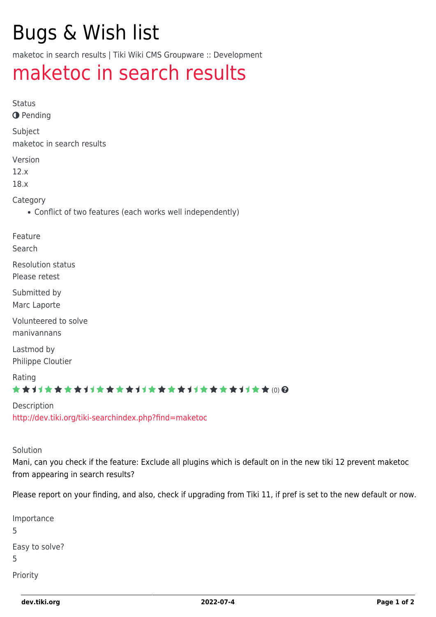# Bugs & Wish list

maketoc in search results | Tiki Wiki CMS Groupware :: Development

# [maketoc in search results](https://dev.tiki.org/item4863-maketoc-in-search-results)

Status

**O** Pending

Subject maketoc in search results

Version

12.x

18.x

Category

Conflict of two features (each works well independently)

Feature

Search

Resolution status Please retest

Submitted by Marc Laporte

Volunteered to solve manivannans

Lastmod by Philippe Cloutier

Rating ★★11★★★★11★★★★11★★★★11★★★★11★★ @@

Description <http://dev.tiki.org/tiki-searchindex.php?find=maketoc>

Solution

Mani, can you check if the feature: Exclude all plugins which is default on in the new tiki 12 prevent maketoc from appearing in search results?

Please report on your finding, and also, check if upgrading from Tiki 11, if pref is set to the new default or now.

Importance 5 Easy to solve? 5 Priority